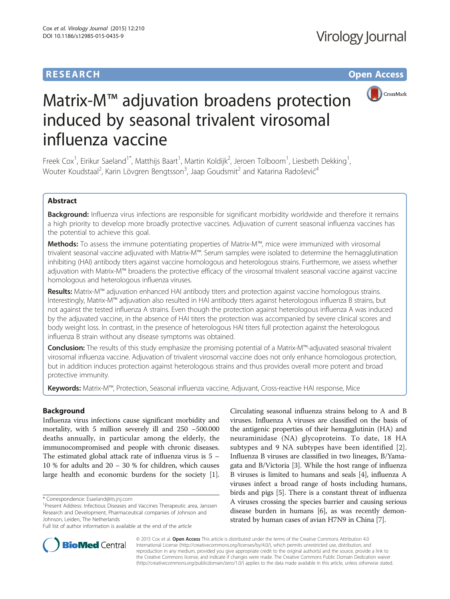# **RESEARCH RESEARCH** *CHECK CHECK CHECK CHECK CHECK CHECK CHECK CHECK CHECK CHECK CHECK CHECK CHECK CHECK CHECK CHECK CHECK CHECK CHECK CHECK CHECK CHECK CHECK CHECK CHECK CHECK CHECK CHECK CHECK CHECK CHECK CHECK CHECK*



# Matrix-M™ adjuvation broadens protection induced by seasonal trivalent virosomal influenza vaccine

Freek Cox<sup>1</sup>, Eirikur Saeland<sup>1\*</sup>, Matthijs Baart<sup>1</sup>, Martin Koldijk<sup>2</sup>, Jeroen Tolboom<sup>1</sup>, Liesbeth Dekking<sup>1</sup> , Wouter Koudstaal<sup>2</sup>, Karin Lövgren Bengtsson<sup>3</sup>, Jaap Goudsmit<sup>2</sup> and Katarina Radošević<sup>4</sup>

## Abstract

Background: Influenza virus infections are responsible for significant morbidity worldwide and therefore it remains a high priority to develop more broadly protective vaccines. Adjuvation of current seasonal influenza vaccines has the potential to achieve this goal.

Methods: To assess the immune potentiating properties of Matrix-M™, mice were immunized with virosomal trivalent seasonal vaccine adjuvated with Matrix-M™. Serum samples were isolated to determine the hemagglutination inhibiting (HAI) antibody titers against vaccine homologous and heterologous strains. Furthermore, we assess whether adjuvation with Matrix-M™ broadens the protective efficacy of the virosomal trivalent seasonal vaccine against vaccine homologous and heterologous influenza viruses.

Results: Matrix-M™ adjuvation enhanced HAI antibody titers and protection against vaccine homologous strains. Interestingly, Matrix-M™ adjuvation also resulted in HAI antibody titers against heterologous influenza B strains, but not against the tested influenza A strains. Even though the protection against heterologous influenza A was induced by the adjuvated vaccine, in the absence of HAI titers the protection was accompanied by severe clinical scores and body weight loss. In contrast, in the presence of heterologous HAI titers full protection against the heterologous influenza B strain without any disease symptoms was obtained.

Conclusion: The results of this study emphasize the promising potential of a Matrix-M™-adjuvated seasonal trivalent virosomal influenza vaccine. Adjuvation of trivalent virosomal vaccine does not only enhance homologous protection, but in addition induces protection against heterologous strains and thus provides overall more potent and broad protective immunity.

Keywords: Matrix-M™, Protection, Seasonal influenza vaccine, Adjuvant, Cross-reactive HAI response, Mice

## Background

Influenza virus infections cause significant morbidity and mortality, with 5 million severely ill and 250 –500.000 deaths annually, in particular among the elderly, the immunocompromised and people with chronic diseases. The estimated global attack rate of influenza virus is 5 – 10 % for adults and 20 – 30 % for children, which causes large health and economic burdens for the society [[1](#page-8-0)].

Circulating seasonal influenza strains belong to A and B viruses. Influenza A viruses are classified on the basis of the antigenic properties of their hemagglutinin (HA) and neuraminidase (NA) glycoproteins. To date, 18 HA subtypes and 9 NA subtypes have been identified [[2](#page-8-0)]. Influenza B viruses are classified in two lineages, B/Yamagata and B/Victoria [\[3](#page-8-0)]. While the host range of influenza B viruses is limited to humans and seals [[4\]](#page-8-0), influenza A viruses infect a broad range of hosts including humans, birds and pigs [[5](#page-8-0)]. There is a constant threat of influenza A viruses crossing the species barrier and causing serious disease burden in humans [\[6](#page-8-0)], as was recently demonstrated by human cases of avian H7N9 in China [\[7\]](#page-8-0).



© 2015 Cox et al. Open Access This article is distributed under the terms of the Creative Commons Attribution 4.0 International License [\(http://creativecommons.org/licenses/by/4.0/](http://creativecommons.org/licenses/by/4.0/)), which permits unrestricted use, distribution, and reproduction in any medium, provided you give appropriate credit to the original author(s) and the source, provide a link to the Creative Commons license, and indicate if changes were made. The Creative Commons Public Domain Dedication waiver [\(http://creativecommons.org/publicdomain/zero/1.0/](http://creativecommons.org/publicdomain/zero/1.0/)) applies to the data made available in this article, unless otherwise stated.

<sup>\*</sup> Correspondence: [Esaeland@its.jnj.com](mailto:Esaeland@its.jnj.com) <sup>1</sup>

<sup>&</sup>lt;sup>1</sup> Present Address: Infectious Diseases and Vaccines Therapeutic area, Janssen Research and Development, Pharmaceutical companies of Johnson and Johnson, Leiden, The Netherlands

Full list of author information is available at the end of the article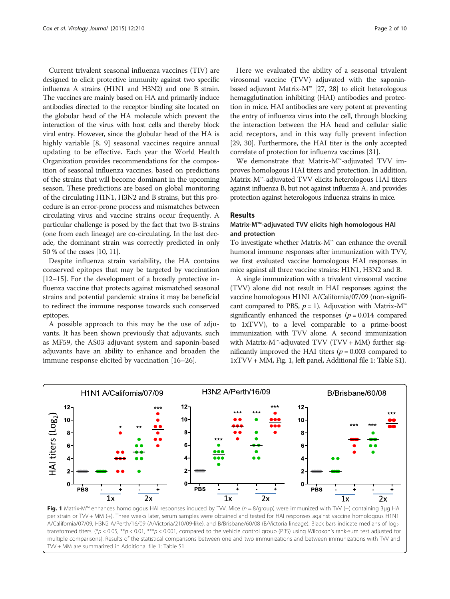<span id="page-1-0"></span>Current trivalent seasonal influenza vaccines (TIV) are designed to elicit protective immunity against two specific influenza A strains (H1N1 and H3N2) and one B strain. The vaccines are mainly based on HA and primarily induce antibodies directed to the receptor binding site located on the globular head of the HA molecule which prevent the interaction of the virus with host cells and thereby block viral entry. However, since the globular head of the HA is highly variable [\[8](#page-8-0), [9\]](#page-8-0) seasonal vaccines require annual updating to be effective. Each year the World Health Organization provides recommendations for the composition of seasonal influenza vaccines, based on predictions of the strains that will become dominant in the upcoming season. These predictions are based on global monitoring of the circulating H1N1, H3N2 and B strains, but this procedure is an error-prone process and mismatches between circulating virus and vaccine strains occur frequently. A particular challenge is posed by the fact that two B-strains (one from each lineage) are co-circulating. In the last decade, the dominant strain was correctly predicted in only 50 % of the cases [\[10, 11](#page-8-0)].

Despite influenza strain variability, the HA contains conserved epitopes that may be targeted by vaccination [[12](#page-8-0)–[15\]](#page-8-0). For the development of a broadly protective influenza vaccine that protects against mismatched seasonal strains and potential pandemic strains it may be beneficial to redirect the immune response towards such conserved epitopes.

A possible approach to this may be the use of adjuvants. It has been shown previously that adjuvants, such as MF59, the AS03 adjuvant system and saponin-based adjuvants have an ability to enhance and broaden the immune response elicited by vaccination [\[16](#page-8-0)–[26](#page-9-0)].

Here we evaluated the ability of a seasonal trivalent virosomal vaccine (TVV) adjuvated with the saponinbased adjuvant Matrix-M™ [\[27, 28](#page-9-0)] to elicit heterologous hemagglutination inhibiting (HAI) antibodies and protection in mice. HAI antibodies are very potent at preventing the entry of influenza virus into the cell, through blocking the interaction between the HA head and cellular sialic acid receptors, and in this way fully prevent infection [[29](#page-9-0), [30\]](#page-9-0). Furthermore, the HAI titer is the only accepted correlate of protection for influenza vaccines [\[31\]](#page-9-0).

We demonstrate that Matrix-M™-adjuvated TVV improves homologous HAI titers and protection. In addition, Matrix-M™-adjuvated TVV elicits heterologous HAI titers against influenza B, but not against influenza A, and provides protection against heterologous influenza strains in mice.

## Results

## Matrix-M™-adjuvated TVV elicits high homologous HAI and protection

To investigate whether Matrix-M™ can enhance the overall humoral immune responses after immunization with TVV, we first evaluated vaccine homologous HAI responses in mice against all three vaccine strains: H1N1, H3N2 and B.

A single immunization with a trivalent virosomal vaccine (TVV) alone did not result in HAI responses against the vaccine homologous H1N1 A/California/07/09 (non-significant compared to PBS,  $p = 1$ ). Adjuvation with Matrix-M<sup>™</sup> significantly enhanced the responses ( $p = 0.014$  compared to 1xTVV), to a level comparable to a prime-boost immunization with TVV alone. A second immunization with Matrix-M<sup>™</sup>-adjuvated TVV (TVV + MM) further significantly improved the HAI titers ( $p = 0.003$  compared to 1xTVV + MM, Fig. 1, left panel, Additional file [1:](#page-7-0) Table S1).



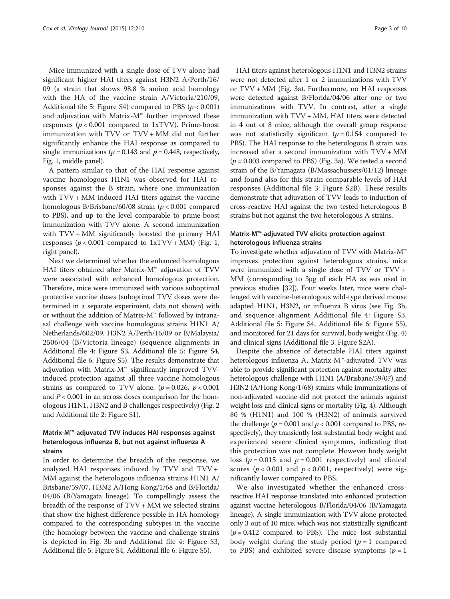Mice immunized with a single dose of TVV alone had significant higher HAI titers against H3N2 A/Perth/16/ 09 (a strain that shows 98.8 % amino acid homology with the HA of the vaccine strain A/Victoria/210/09, Additional file [5](#page-8-0): Figure S4) compared to PBS  $(p < 0.001)$ and adjuvation with Matrix- $M^{\omega}$  further improved these responses ( $p < 0.001$  compared to 1xTVV). Prime-boost immunization with TVV or TVV + MM did not further significantly enhance the HAI response as compared to single immunizations ( $p = 0.143$  and  $p = 0.448$ , respectively, Fig. [1,](#page-1-0) middle panel).

A pattern similar to that of the HAI response against vaccine homologous H1N1 was observed for HAI responses against the B strain, where one immunization with  $TVV + MM$  induced HAI titers against the vaccine homologous B/Brisbane/60/08 strain ( $p < 0.001$  compared to PBS), and up to the level comparable to prime-boost immunization with TVV alone. A second immunization with TVV + MM significantly boosted the primary HAI responses ( $p < 0.001$  compared to  $1xTVV + MM$ ) (Fig. [1](#page-1-0), right panel).

Next we determined whether the enhanced homologous HAI titers obtained after Matrix-M™ adjuvation of TVV were associated with enhanced homologous protection. Therefore, mice were immunized with various suboptimal protective vaccine doses (suboptimal TVV doses were determined in a separate experiment, data not shown) with or without the addition of Matrix-M™ followed by intranasal challenge with vaccine homologous strains H1N1 A/ Netherlands/602/09, H3N2 A/Perth/16/09 or B/Malaysia/ 2506/04 (B/Victoria lineage) (sequence alignments in Additional file [4](#page-8-0): Figure S3, Additional file [5](#page-8-0): Figure S4, Additional file [6](#page-8-0): Figure S5). The results demonstrate that adjuvation with Matrix-M™ significantly improved TVVinduced protection against all three vaccine homologous strains as compared to TVV alone. ( $p = 0.026$ ,  $p < 0.001$ ) and  $P < 0.001$  in an across doses comparison for the homologous H1N1, H3N2 and B challenges respectively) (Fig. [2](#page-3-0) and Additional file [2](#page-7-0): Figure S1).

## Matrix-M™-adjuvated TVV induces HAI responses against heterologous influenza B, but not against influenza A strains

In order to determine the breadth of the response, we analyzed HAI responses induced by TVV and TVV + MM against the heterologous influenza strains H1N1 A/ Brisbane/59/07, H3N2 A/Hong Kong/1/68 and B/Florida/ 04/06 (B/Yamagata lineage). To compellingly assess the breadth of the response of TVV + MM we selected strains that show the highest difference possible in HA homology compared to the corresponding subtypes in the vaccine (the homology between the vaccine and challenge strains is depicted in Fig. [3b](#page-4-0) and Additional file [4:](#page-8-0) Figure S3, Additional file [5](#page-8-0): Figure S4, Additional file [6](#page-8-0): Figure S5).

HAI titers against heterologous H1N1 and H3N2 strains were not detected after 1 or 2 immunizations with TVV or TVV + MM (Fig. [3a\)](#page-4-0). Furthermore, no HAI responses were detected against B/Florida/04/06 after one or two immunizations with TVV. In contrast, after a single immunization with TVV + MM, HAI titers were detected in 4 out of 8 mice, although the overall group response was not statistically significant  $(p = 0.154$  compared to PBS). The HAI response to the heterologous B strain was increased after a second immunization with TVV + MM  $(p = 0.003$  compared to PBS) (Fig. [3a\)](#page-4-0). We tested a second strain of the B/Yamagata (B/Massachussets/01/12) lineage and found also for this strain comparable levels of HAI responses (Additional file [3](#page-7-0): Figure S2B). These results demonstrate that adjuvation of TVV leads to induction of cross-reactive HAI against the two tested heterologous B strains but not against the two heterologous A strains.

## Matrix-M™-adjuvated TVV elicits protection against heterologous influenza strains

To investigate whether adjuvation of TVV with Matrix-M™ improves protection against heterologous strains, mice were immunized with a single dose of TVV or TVV + MM (corresponding to 3μg of each HA as was used in previous studies [\[32\]](#page-9-0)). Four weeks later, mice were challenged with vaccine-heterologous wild-type derived mouse adapted H1N1, H3N2, or influenza B virus (see Fig. [3b](#page-4-0), and sequence alignment Additional file [4:](#page-8-0) Figure S3, Additional file [5](#page-8-0): Figure S4, Additional file [6:](#page-8-0) Figure S5), and monitored for 21 days for survival, body weight (Fig. [4](#page-5-0)) and clinical signs (Additional file [3](#page-7-0): Figure S2A).

Despite the absence of detectable HAI titers against heterologous influenza A, Matrix-M™-adjuvated TVV was able to provide significant protection against mortality after heterologous challenge with H1N1 (A/Brisbane/59/07) and H3N2 (A/Hong Kong/1/68) strains while immunizations of non-adjuvated vaccine did not protect the animals against weight loss and clinical signs or mortality (Fig. [4\)](#page-5-0). Although 80 % (H1N1) and 100 % (H3N2) of animals survived the challenge ( $p = 0.001$  and  $p < 0.001$  compared to PBS, respectively), they transiently lost substantial body weight and experienced severe clinical symptoms, indicating that this protection was not complete. However body weight loss ( $p = 0.015$  and  $p = 0.001$  respectively) and clinical scores ( $p < 0.001$  and  $p < 0.001$ , respectively) were significantly lower compared to PBS.

We also investigated whether the enhanced crossreactive HAI response translated into enhanced protection against vaccine heterologous B/Florida/04/06 (B/Yamagata lineage). A single immunization with TVV alone protected only 3 out of 10 mice, which was not statistically significant  $(p = 0.412$  compared to PBS). The mice lost substantial body weight during the study period  $(p = 1$  compared to PBS) and exhibited severe disease symptoms ( $p = 1$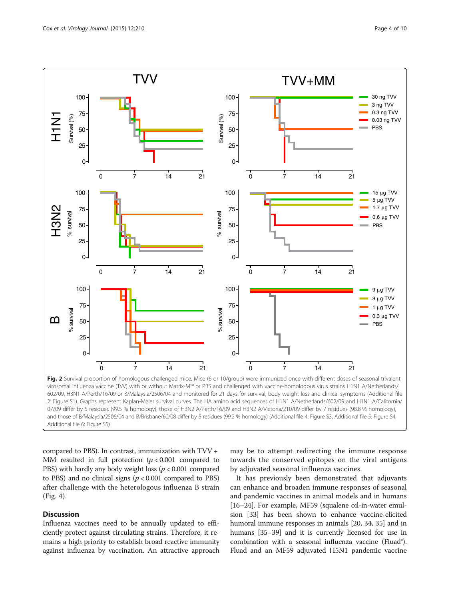<span id="page-3-0"></span>

compared to PBS). In contrast, immunization with TVV + MM resulted in full protection  $(p < 0.001$  compared to PBS) with hardly any body weight loss ( $p < 0.001$  compared to PBS) and no clinical signs ( $p < 0.001$  compared to PBS) after challenge with the heterologous influenza B strain

### **Discussion**

(Fig. [4\)](#page-5-0).

Influenza vaccines need to be annually updated to efficiently protect against circulating strains. Therefore, it remains a high priority to establish broad reactive immunity against influenza by vaccination. An attractive approach may be to attempt redirecting the immune response towards the conserved epitopes on the viral antigens by adjuvated seasonal influenza vaccines.

It has previously been demonstrated that adjuvants can enhance and broaden immune responses of seasonal and pandemic vaccines in animal models and in humans [[16](#page-8-0)–[24\]](#page-8-0). For example, MF59 (squalene oil-in-water emulsion [\[33\]](#page-9-0) has been shown to enhance vaccine-elicited humoral immune responses in animals [[20](#page-8-0), [34, 35\]](#page-9-0) and in humans [[35](#page-9-0)–[39\]](#page-9-0) and it is currently licensed for use in combination with a seasonal influenza vaccine (Fluad®). Fluad and an MF59 adjuvated H5N1 pandemic vaccine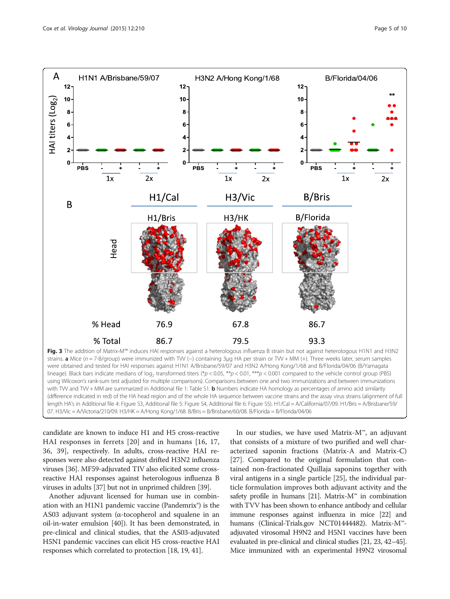<span id="page-4-0"></span>

(difference indicated in red) of the HA head region and of the whole HA sequence between vaccine strains and the assay virus strains (alignment of full length HA's in Additional file [4](#page-8-0): Figure S3, Additional file [5](#page-8-0): Figure S4, Additional file [6](#page-8-0): Figure S5). H1/Cal = A/California/07/09. H1/Bris = A/Brisbane/59/ 07. H3/Vic = A/Victoria/210/09. H3/HK = A/Hong Kong/1/68. B/Bris = B/Brisbane/60/08. B/Florida = B/Florida/04/06

candidate are known to induce H1 and H5 cross-reactive HAI responses in ferrets [\[20\]](#page-8-0) and in humans [[16, 17](#page-8-0), [36, 39](#page-9-0)], respectively. In adults, cross-reactive HAI responses were also detected against drifted H3N2 influenza viruses [[36](#page-9-0)]. MF59-adjuvated TIV also elicited some crossreactive HAI responses against heterologous influenza B viruses in adults [[37](#page-9-0)] but not in unprimed children [[39](#page-9-0)].

Another adjuvant licensed for human use in combination with an H1N1 pandemic vaccine (Pandemrix®) is the AS03 adjuvant system (α-tocopherol and squalene in an oil-in-water emulsion [[40](#page-9-0)]). It has been demonstrated, in pre-clinical and clinical studies, that the AS03-adjuvated H5N1 pandemic vaccines can elicit H5 cross-reactive HAI responses which correlated to protection [\[18, 19,](#page-8-0) [41](#page-9-0)].

In our studies, we have used Matrix-M™, an adjuvant that consists of a mixture of two purified and well characterized saponin fractions (Matrix-A and Matrix-C) [[27\]](#page-9-0). Compared to the original formulation that contained non-fractionated Quillaja saponins together with viral antigens in a single particle [\[25](#page-8-0)], the individual particle formulation improves both adjuvant activity and the safety profile in humans [\[21](#page-8-0)]. Matrix- $M^{\prime\prime}$  in combination with TVV has been shown to enhance antibody and cellular immune responses against influenza in mice [\[22\]](#page-8-0) and humans (Clinical-Trials.gov NCT01444482). Matrix-M™ adjuvated virosomal H9N2 and H5N1 vaccines have been evaluated in pre-clinical and clinical studies [[21, 23](#page-8-0), [42](#page-9-0)–[45](#page-9-0)]. Mice immunized with an experimental H9N2 virosomal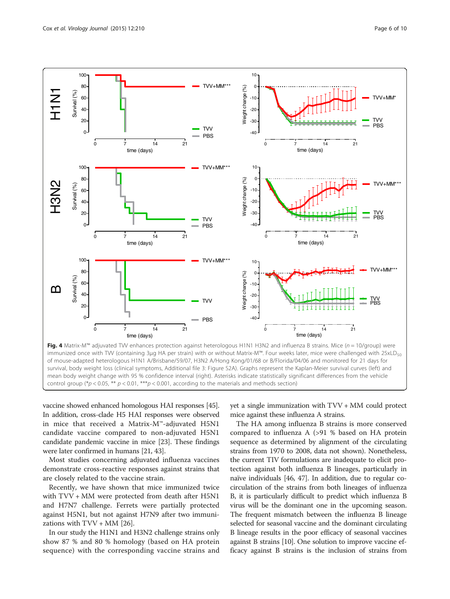<span id="page-5-0"></span>

immunized once with TVV (containing 3μg HA per strain) with or without Matrix-M™. Four weeks later, mice were challenged with 25xLD<sub>50</sub> of mouse-adapted heterologous H1N1 A/Brisbane/59/07, H3N2 A/Hong Kong/01/68 or B/Florida/04/06 and monitored for 21 days for survival, body weight loss (clinical symptoms, Additional file [3](#page-7-0): Figure S2A). Graphs represent the Kaplan-Meier survival curves (left) and mean body weight change with 95 % confidence interval (right). Asterisks indicate statistically significant differences from the vehicle control group (\*p < 0.05, \*\* p < 0.01, \*\*\*p < 0.001, according to the materials and methods section)

vaccine showed enhanced homologous HAI responses [\[45](#page-9-0)]. In addition, cross-clade H5 HAI responses were observed in mice that received a Matrix-M™-adjuvated H5N1 candidate vaccine compared to non-adjuvated H5N1 candidate pandemic vaccine in mice [[23](#page-8-0)]. These findings were later confirmed in humans [\[21,](#page-8-0) [43](#page-9-0)].

Most studies concerning adjuvated influenza vaccines demonstrate cross-reactive responses against strains that are closely related to the vaccine strain.

Recently, we have shown that mice immunized twice with TVV + MM were protected from death after H5N1 and H7N7 challenge. Ferrets were partially protected against H5N1, but not against H7N9 after two immunizations with  $TVV + MM$  [[26\]](#page-9-0).

In our study the H1N1 and H3N2 challenge strains only show 87 % and 80 % homology (based on HA protein sequence) with the corresponding vaccine strains and yet a single immunization with TVV + MM could protect mice against these influenza A strains.

The HA among influenza B strains is more conserved compared to influenza A (>91 % based on HA protein sequence as determined by alignment of the circulating strains from 1970 to 2008, data not shown). Nonetheless, the current TIV formulations are inadequate to elicit protection against both influenza B lineages, particularly in naïve individuals [\[46, 47\]](#page-9-0). In addition, due to regular cocirculation of the strains from both lineages of influenza B, it is particularly difficult to predict which influenza B virus will be the dominant one in the upcoming season. The frequent mismatch between the influenza B lineage selected for seasonal vaccine and the dominant circulating B lineage results in the poor efficacy of seasonal vaccines against B strains [\[10\]](#page-8-0). One solution to improve vaccine efficacy against B strains is the inclusion of strains from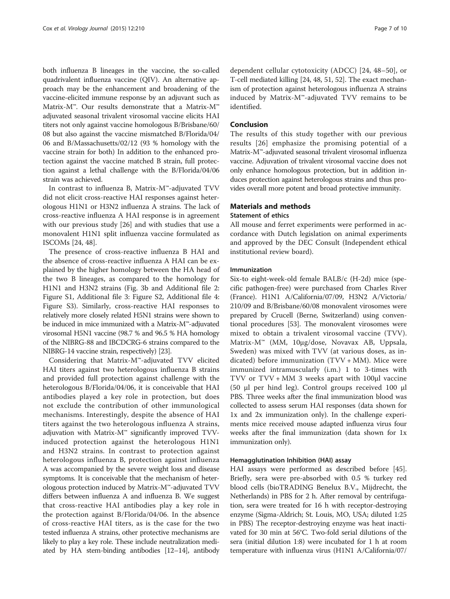both influenza B lineages in the vaccine, the so-called quadrivalent influenza vaccine (QIV). An alternative approach may be the enhancement and broadening of the vaccine-elicited immune response by an adjuvant such as Matrix-M™. Our results demonstrate that a Matrix-M™ adjuvated seasonal trivalent virosomal vaccine elicits HAI titers not only against vaccine homologous B/Brisbane/60/ 08 but also against the vaccine mismatched B/Florida/04/ 06 and B/Massachusetts/02/12 (93 % homology with the vaccine strain for both) In addition to the enhanced protection against the vaccine matched B strain, full protection against a lethal challenge with the B/Florida/04/06 strain was achieved.

In contrast to influenza B, Matrix-M™-adjuvated TVV did not elicit cross-reactive HAI responses against heterologous H1N1 or H3N2 influenza A strains. The lack of cross-reactive influenza A HAI response is in agreement with our previous study [\[26\]](#page-9-0) and with studies that use a monovalent H1N1 split influenza vaccine formulated as ISCOMs [\[24](#page-8-0), [48](#page-9-0)].

The presence of cross-reactive influenza B HAI and the absence of cross-reactive influenza A HAI can be explained by the higher homology between the HA head of the two B lineages, as compared to the homology for H1N1 and H3N2 strains (Fig. [3b](#page-4-0) and Additional file [2](#page-7-0): Figure S1, Additional file [3:](#page-7-0) Figure S2, Additional file [4](#page-8-0): Figure S3). Similarly, cross-reactive HAI responses to relatively more closely related H5N1 strains were shown to be induced in mice immunized with a Matrix-M™-adjuvated virosomal H5N1 vaccine (98.7 % and 96.5 % HA homology of the NIBRG-88 and IBCDCRG-6 strains compared to the NIBRG-14 vaccine strain, respectively) [[23](#page-8-0)].

Considering that Matrix-M™-adjuvated TVV elicited HAI titers against two heterologous influenza B strains and provided full protection against challenge with the heterologous B/Florida/04/06, it is conceivable that HAI antibodies played a key role in protection, but does not exclude the contribution of other immunological mechanisms. Interestingly, despite the absence of HAI titers against the two heterologous influenza A strains, adjuvation with Matrix-M™ significantly improved TVVinduced protection against the heterologous H1N1 and H3N2 strains. In contrast to protection against heterologous influenza B, protection against influenza A was accompanied by the severe weight loss and disease symptoms. It is conceivable that the mechanism of heterologous protection induced by Matrix-M™-adjuvated TVV differs between influenza A and influenza B. We suggest that cross-reactive HAI antibodies play a key role in the protection against B/Florida/04/06. In the absence of cross-reactive HAI titers, as is the case for the two tested influenza A strains, other protective mechanisms are likely to play a key role. These include neutralization mediated by HA stem-binding antibodies [\[12](#page-8-0)–[14\]](#page-8-0), antibody

dependent cellular cytotoxicity (ADCC) [[24](#page-8-0), [48](#page-9-0)–[50\]](#page-9-0), or T-cell mediated killing [\[24](#page-8-0), [48](#page-9-0), [51, 52](#page-9-0)]. The exact mechanism of protection against heterologous influenza A strains induced by Matrix-M™-adjuvated TVV remains to be identified.

#### Conclusion

The results of this study together with our previous results [[26\]](#page-9-0) emphasize the promising potential of a Matrix-M™-adjuvated seasonal trivalent virosomal influenza vaccine. Adjuvation of trivalent virosomal vaccine does not only enhance homologous protection, but in addition induces protection against heterologous strains and thus provides overall more potent and broad protective immunity.

## Materials and methods

#### Statement of ethics

All mouse and ferret experiments were performed in accordance with Dutch legislation on animal experiments and approved by the DEC Consult (Independent ethical institutional review board).

#### Immunization

Six-to eight-week-old female BALB/c (H-2d) mice (specific pathogen-free) were purchased from Charles River (France). H1N1 A/California/07/09, H3N2 A/Victoria/ 210/09 and B/Brisbane/60/08 monovalent virosomes were prepared by Crucell (Berne, Switzerland) using conventional procedures [[53](#page-9-0)]. The monovalent virosomes were mixed to obtain a trivalent virosomal vaccine (TVV). Matrix-M™ (MM, 10μg/dose, Novavax AB, Uppsala, Sweden) was mixed with TVV (at various doses, as indicated) before immunization (TVV + MM). Mice were immunized intramuscularly (i.m.) 1 to 3-times with TVV or TVV + MM 3 weeks apart with 100μl vaccine (50 μl per hind leg). Control groups received 100 μl PBS. Three weeks after the final immunization blood was collected to assess serum HAI responses (data shown for 1x and 2x immunization only). In the challenge experiments mice received mouse adapted influenza virus four weeks after the final immunization (data shown for 1x immunization only).

#### Hemagglutination Inhibition (HAI) assay

HAI assays were performed as described before [\[45](#page-9-0)]. Briefly, sera were pre-absorbed with 0.5 % turkey red blood cells (bioTRADING Benelux B.V., Mijdrecht, the Netherlands) in PBS for 2 h. After removal by centrifugation, sera were treated for 16 h with receptor-destroying enzyme (Sigma-Aldrich; St. Louis, MO, USA; diluted 1:25 in PBS) The receptor-destroying enzyme was heat inactivated for 30 min at 56°C. Two-fold serial dilutions of the sera (initial dilution 1:8) were incubated for 1 h at room temperature with influenza virus (H1N1 A/California/07/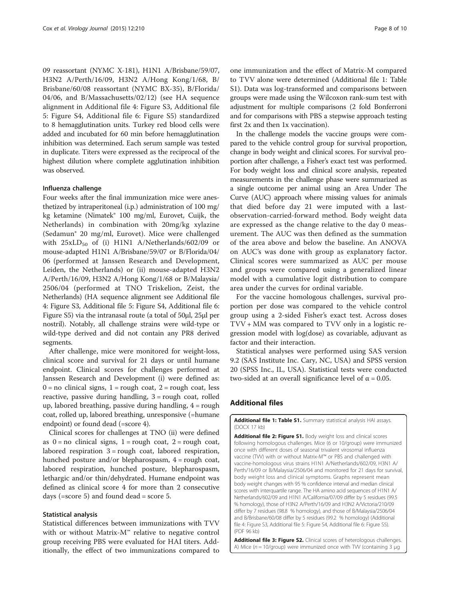<span id="page-7-0"></span>09 reassortant (NYMC X-181), H1N1 A/Brisbane/59/07, H3N2 A/Perth/16/09, H3N2 A/Hong Kong/1/68, B/ Brisbane/60/08 reassortant (NYMC BX-35), B/Florida/ 04/06, and B/Massachusetts/02/12) (see HA sequence alignment in Additional file [4:](#page-8-0) Figure S3, Additional file [5:](#page-8-0) Figure S4, Additional file [6](#page-8-0): Figure S5) standardized to 8 hemagglutination units. Turkey red blood cells were added and incubated for 60 min before hemagglutination inhibition was determined. Each serum sample was tested in duplicate. Titers were expressed as the reciprocal of the highest dilution where complete agglutination inhibition was observed.

#### Influenza challenge

Four weeks after the final immunization mice were anesthetized by intraperitoneal (i.p.) administration of 100 mg/ kg ketamine (Nimatek® 100 mg/ml, Eurovet, Cuijk, the Netherlands) in combination with 20mg/kg xylazine (Sedamun® 20 mg/ml, Eurovet). Mice were challenged with  $25xLD_{50}$  of (i) H1N1 A/Netherlands/602/09 or mouse-adapted H1N1 A/Brisbane/59/07 or B/Florida/04/ 06 (performed at Janssen Research and Development, Leiden, the Netherlands) or (ii) mouse-adapted H3N2 A/Perth/16/09, H3N2 A/Hong Kong/1/68 or B/Malaysia/ 2506/04 (performed at TNO Triskelion, Zeist, the Netherlands) (HA sequence alignment see Additional file [4:](#page-8-0) Figure S3, Additional file [5](#page-8-0): Figure S4, Additional file [6](#page-8-0): Figure S5) via the intranasal route (a total of 50μl, 25μl per nostril). Notably, all challenge strains were wild-type or wild-type derived and did not contain any PR8 derived segments.

After challenge, mice were monitored for weight-loss, clinical score and survival for 21 days or until humane endpoint. Clinical scores for challenges performed at Janssen Research and Development (i) were defined as:  $0 = no$  clinical signs,  $1 = rough$  coat,  $2 = rough$  coat, less reactive, passive during handling,  $3 =$  rough coat, rolled up, labored breathing, passive during handling, 4 = rough coat, rolled up, labored breathing, unresponsive (=humane endpoint) or found dead (=score 4).

Clinical scores for challenges at TNO (ii) were defined as  $0 = no$  clinical signs,  $1 = rough$  coat,  $2 = rough$  coat, labored respiration  $3 = \text{rough coat}$ , labored respiration, hunched posture and/or blepharospasm, 4 = rough coat, labored respiration, hunched posture, blepharospasm, lethargic and/or thin/dehydrated. Humane endpoint was defined as clinical score 4 for more than 2 consecutive days (=score 5) and found dead = score 5.

#### Statistical analysis

Statistical differences between immunizations with TVV with or without Matrix-M™ relative to negative control group receiving PBS were evaluated for HAI titers. Additionally, the effect of two immunizations compared to

one immunization and the effect of Matrix-M compared to TVV alone were determined (Additional file 1: Table S1). Data was log-transformed and comparisons between groups were made using the Wilcoxon rank-sum test with adjustment for multiple comparisons (2 fold Bonferroni and for comparisons with PBS a stepwise approach testing first 2x and then 1x vaccination).

In the challenge models the vaccine groups were compared to the vehicle control group for survival proportion, change in body weight and clinical scores. For survival proportion after challenge, a Fisher's exact test was performed. For body weight loss and clinical score analysis, repeated measurements in the challenge phase were summarized as a single outcome per animal using an Area Under The Curve (AUC) approach where missing values for animals that died before day 21 were imputed with a lastobservation-carried-forward method. Body weight data are expressed as the change relative to the day 0 measurement. The AUC was then defined as the summation of the area above and below the baseline. An ANOVA on AUC's was done with group as explanatory factor. Clinical scores were summarized as AUC per mouse and groups were compared using a generalized linear model with a cumulative logit distribution to compare area under the curves for ordinal variable.

For the vaccine homologous challenges, survival proportion per dose was compared to the vehicle control group using a 2-sided Fisher's exact test. Across doses TVV + MM was compared to TVV only in a logistic regression model with log(dose) as covariable, adjuvant as factor and their interaction.

Statistical analyses were performed using SAS version 9.2 (SAS Institute Inc. Cary, NC, USA) and SPSS version 20 (SPSS Inc., IL, USA). Statistical tests were conducted two-sided at an overall significance level of α = 0.05.

## Additional files

[Additional file 1: Table S1.](dx.doi.org/10.1186/s12985-015-0435-9) Summary statistical analysis HAI assays. (DOCX 17 kb)

[Additional file 2: Figure S1.](dx.doi.org/10.1186/s12985-015-0435-9) Body weight loss and clinical scores following homologous challenges. Mice (6 or 10/group) were immunized once with different doses of seasonal trivalent virosomal influenza vaccine (TVV) with or without Matrix-M™ or PBS and challenged with vaccine-homologous virus strains H1N1 A/Netherlands/602/09, H3N1 A/ Perth/16/09 or B/Malaysia/2506/04 and monitored for 21 days for survival, body weight loss and clinical symptoms. Graphs represent mean body weight changes with 95 % confidence interval and median clinical scores with interquartile range. The HA amino acid sequences of H1N1 A/ Netherlands/602/09 and H1N1 A/California/07/09 differ by 5 residues (99.5 % homology), those of H3N2 A/Perth/16/09 and H3N2 A/Victoria/210/09 differ by 7 residues (98.8 % homology), and those of B/Malaysia/2506/04 and B/Brisbane/60/08 differ by 5 residues (99.2 % homology) (Additional file [4:](#page-8-0) Figure S3, Additional file [5:](#page-8-0) Figure S4, Additional file [6:](#page-8-0) Figure S5). (PDF 96 kb)

[Additional file 3: Figure S2.](dx.doi.org/10.1186/s12985-015-0435-9) Clinical scores of heterologous challenges. A) Mice ( $n = 10$ /group) were immunized once with TW (containing 3 μg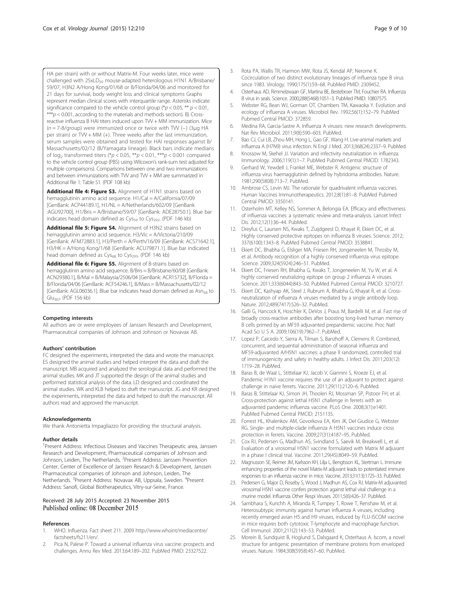<span id="page-8-0"></span>HA per strain) with or without Matrix-M. Four weeks later, mice were challenged with 25xLD<sub>50</sub> mouse-adapted heterologous H1N1 A/Brisbane/ 59/07, H3N2 A/Hong Kong/01/68 or B/Florida/04/06 and monitored for 21 days for survival, body weight loss and clinical symptoms Graphs represent median clinical scores with interquartile range. Asterisks indicate significance compared to the vehicle control group ( $p < 0.05$ , \*\*  $p < 0.01$ , \*\*\* $p$  < 0.001, according to the materials and methods section). B) Crossreactive influenza B HAI titers induced upon TW + MM immunization. Mice (n = 7-8/group) were immunized once or twice with TW (−) (3ug HA per strain) or TW + MM (+). Three weeks after the last immunization, serum samples were obtained and tested for HAI responses against B/ Massachusetts/02/12 (B/Yamagata lineage). Black bars indicate medians of  $log_2$  transformed titers (\*p < 0.05, \*\*p < 0.01, \*\*\*p < 0.001 compared to the vehicle control group (PBS) using Wilcoxon's rank-sum test adjusted for multiple comparisons). Comparisons between one and two immunizations and between immunizations with TW and TW + MM are summarized in Additional file [1](#page-7-0): Table S1. (PDF 108 kb)

[Additional file 4: Figure S3.](dx.doi.org/10.1186/s12985-015-0435-9) Alignment of H1N1 strains based on hemagglutinin amino acid sequence. H1/Cal = A/California/07/09 [GenBank: ACP44189.1], H1/NL = A/Netherlands/602/09 [GenBank :AGU92700], H1/Bris = A/Brisbane/59/07 [GenBank: ADE28750.1]. Blue bar indicates head domain defined as Cys<sub>59</sub> to Cys<sub>292</sub>. (PDF 146 kb)

[Additional file 5: Figure S4.](dx.doi.org/10.1186/s12985-015-0435-9) Alignment of H3N2 strains based on hemagglutinin amino acid sequence. H3/Vic = A/Victoria/210/09 [GenBank: AFM72883.1], H3/Perth = A/Perth/16/09 [GenBank: ACS71642.1], H3/HK = A/Hong Kong/1/68 [GenBank: ACU79871.1]. Blue bar indicated head domain defined as Cys<sub>68</sub> to Cys<sub>293</sub>. (PDF 146 kb)

[Additional file 6: Figure S5.](dx.doi.org/10.1186/s12985-015-0435-9) Alignment of B-strains based on hemagglutinin amino acid sequence. B/Bris = B/Brisbane/60/08 [GenBank: ACN29380.1], B/Mal = B/Malaysia/2506/04 [GenBank: ACR15732], B/Florida = B/Florida/04/06 [GenBank: ACF54246.1], B/Mass = B/Massachusetts/02/12 [GenBank: AGL06036.1]. Blue bar indicates head domain defined as Asn<sub>58</sub> to Glu307. (PDF 156 kb)

#### Competing interests

All authors are or were employees of Janssen Research and Development, Pharmaceutical companies of Johnson and Johnson or Novavax AB.

#### Authors' contribution

FC designed the experiments, interpreted the data and wrote the manuscript. ES designed the animal studies and helped interpret the data and draft the manuscript. MB acquired and analyzed the serological data and performed the animal studies. MK and JT supported the design of the animal studies and performed statistical analysis of the data. LD designed and coordinated the animal studies. WK and KLB helped to draft the manuscript. JG and KR designed the experiments, interpreted the data and helped to draft the manuscript. All authors read and approved the manuscript.

#### Acknowledgements

We thank Antonietta Impagliazzo for providing the structural analysis.

#### Author details

<sup>1</sup> Present Address: Infectious Diseases and Vaccines Therapeutic area, Janssen Research and Development, Pharmaceutical companies of Johnson and Johnson, Leiden, The Netherlands. <sup>2</sup>Present Address: Janssen Prevention Center, Center of Excellence of Janssen Research & Development, Janssen Pharmaceutical companies of Johnson and Johnson, Leiden, The Netherlands. <sup>3</sup>Present Address: Novavax AB, Uppsala, Sweden. <sup>4</sup>Present Address: Sanofi, Global Biotherapeutics, Vitry-sur-Seine, France.

#### Received: 28 July 2015 Accepted: 23 November 2015 Published online: 08 December 2015

#### References

- 1. WHO. Influenza. Fact sheet 211. 2009 [http://www.whoint/mediacentre/](http://www.whoint/mediacentre/factsheets/fs211/en/) [factsheets/fs211/en/](http://www.whoint/mediacentre/factsheets/fs211/en/).
- 2. Pica N, Palese P. Toward a universal influenza virus vaccine: prospects and challenges. Annu Rev Med. 2013;64:189–202. PubMed PMID: 23327522.
- 3. Rota PA, Wallis TR, Harmon MW, Rota JS, Kendal AP, Nerome K. Cocirculation of two distinct evolutionary lineages of influenza type B virus since 1983. Virology. 1990;175(1):59–68. PubMed PMID: 2309452.
- 4. Osterhaus AD, Rimmelzwaan GF, Martina BE, Bestebroer TM, Fouchier RA. Influenza B virus in seals. Science. 2000;288(5468):1051–3. PubMed PMID: 10807575.
- 5. Webster RG, Bean WJ, Gorman OT, Chambers TM, Kawaoka Y. Evolution and ecology of influenza A viruses. Microbiol Rev. 1992;56(1):152–79. PubMed Pubmed Central PMCID: 372859.
- 6. Medina RA, Garcia-Sastre A. Influenza A viruses: new research developments. Nat Rev Microbiol. 2011;9(8):590–603. PubMed.
- 7. Bao CJ, Cui LB, Zhou MH, Hong L, Gao GF, Wang H. Live-animal markets and influenza A (H7N9) virus infection. N Engl J Med. 2013;368(24):2337–9. PubMed.
- Knossow M, Skehel JJ. Variation and infectivity neutralization in influenza. Immunology. 2006;119(1):1–7. PubMed Pubmed Central PMCID: 1782343.
- 9. Gerhard W, Yewdell J, Frankel ME, Webster R. Antigenic structure of influenza virus haemagglutinin defined by hybridoma antibodies. Nature. 1981;290(5808):713–7. PubMed.
- 10. Ambrose CS, Levin MJ. The rationale for quadrivalent influenza vaccines. Human Vaccines Immunotherapeutics. 2012;8(1):81–8. PubMed Pubmed Central PMCID: 3350141.
- 11. Osterholm MT, Kelley NS, Sommer A, Belongia EA. Efficacy and effectiveness of influenza vaccines: a systematic review and meta-analysis. Lancet Infect Dis. 2012;12(1):36–44. PubMed.
- 12. Dreyfus C, Laursen NS, Kwaks T, Zuijdgeest D, Khayat R, Ekiert DC, et al. Highly conserved protective epitopes on influenza B viruses. Science. 2012; 337(6100):1343–8. PubMed Pubmed Central PMCID: 3538841.
- 13. Ekiert DC, Bhabha G, Elsliger MA, Friesen RH, Jongeneelen M, Throsby M, et al. Antibody recognition of a highly conserved influenza virus epitope. Science. 2009;324(5924):246–51. PubMed.
- 14. Ekiert DC, Friesen RH, Bhabha G, Kwaks T, Jongeneelen M, Yu W, et al. A highly conserved neutralizing epitope on group 2 influenza A viruses. Science. 2011;333(6044):843–50. PubMed Pubmed Central PMCID: 3210727.
- 15. Ekiert DC, Kashyap AK, Steel J, Rubrum A, Bhabha G, Khayat R, et al. Crossneutralization of influenza A viruses mediated by a single antibody loop. Nature. 2012;489(7417):526–32. PubMed.
- 16. Galli G, Hancock K, Hoschler K, DeVos J, Praus M, Bardelli M, et al. Fast rise of broadly cross-reactive antibodies after boosting long-lived human memory B cells primed by an MF59 adjuvanted prepandemic vaccine. Proc Natl Acad Sci U S A. 2009;106(19):7962–7. PubMed.
- 17. Lopez P, Caicedo Y, Sierra A, Tilman S, Banzhoff A, Clemens R. Combined, concurrent, and sequential administration of seasonal influenza and MF59-adjuvanted A/H5N1 vaccines: a phase II randomized, controlled trial of immunogenicity and safety in healthy adults. J Infect Dis. 2011;203(12): 1719–28. PubMed.
- 18. Baras B, de Waal L, Stittelaar KJ, Jacob V, Giannini S, Kroeze EJ, et al. Pandemic H1N1 vaccine requires the use of an adjuvant to protect against challenge in naive ferrets. Vaccine. 2011;29(11):2120–6. PubMed.
- 19. Baras B, Stittelaar KJ, Simon JH, Thoolen RJ, Mossman SP, Pistoor FH, et al. Cross-protection against lethal H5N1 challenge in ferrets with an adjuvanted pandemic influenza vaccine. PLoS One. 2008;3(1):e1401. PubMed Pubmed Central PMCID: 2151135.
- 20. Forrest HL, Khalenkov AM, Govorkova EA, Kim JK, Del Giudice G, Webster RG. Single- and multiple-clade influenza A H5N1 vaccines induce cross protection in ferrets. Vaccine. 2009;27(31):4187–95. PubMed.
- 21. Cox RJ, Pedersen G, Madhun AS, Svindland S, Saevik M, Breakwell L, et al. Evaluation of a virosomal H5N1 vaccine formulated with Matrix M adjuvant in a phase I clinical trial. Vaccine. 2011;29(45):8049–59. PubMed.
- 22. Magnusson SE, Reimer JM, Karlsson KH, Lilja L, Bengtsson KL, Stertman L. Immune enhancing properties of the novel Matrix-M adjuvant leads to potentiated immune responses to an influenza vaccine in mice. Vaccine. 2013;31(13):1725–33. PubMed.
- 23. Pedersen G, Major D, Roseby S, Wood J, Madhun AS, Cox RJ. Matrix-M adjuvanted virosomal H5N1 vaccine confers protection against lethal viral challenge in a murine model. Influenza Other Respi Viruses. 2011;5(6):426–37. PubMed.
- 24. Sambhara S, Kurichh A, Miranda R, Tumpey T, Rowe T, Renshaw M, et al. Heterosubtypic immunity against human influenza A viruses, including recently emerged avian H5 and H9 viruses, induced by FLU-ISCOM vaccine in mice requires both cytotoxic T-lymphocyte and macrophage function. Cell Immunol. 2001;211(2):143–53. PubMed.
- 25. Morein B, Sundquist B, Hoglund S, Dalsgaard K, Osterhaus A. Iscom, a novel structure for antigenic presentation of membrane proteins from enveloped viruses. Nature. 1984;308(5958):457–60. PubMed.